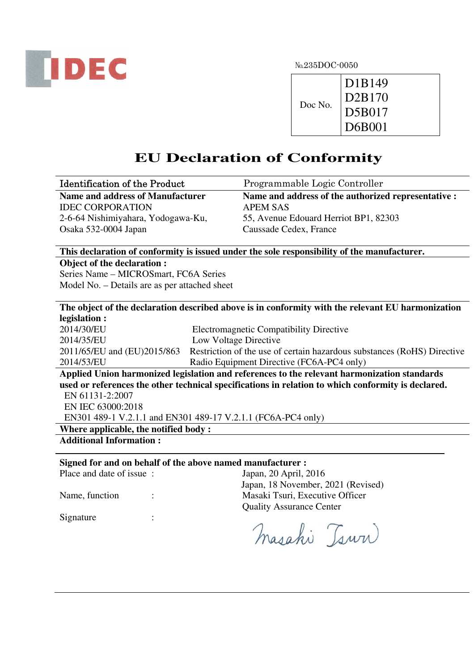

|         | D <sub>1</sub> B <sub>149</sub> |
|---------|---------------------------------|
| Doc No. | $\overline{D}$ 2B170            |
|         | D5B017<br>D6B001                |
|         |                                 |

# **EU Declaration of Conformity**

| <b>Identification of the Product</b>    | Programmable Logic Controller                       |
|-----------------------------------------|-----------------------------------------------------|
| <b>Name and address of Manufacturer</b> | Name and address of the authorized representative : |
| <b>IDEC CORPORATION</b>                 | <b>APEM SAS</b>                                     |
| 2-6-64 Nishimiyahara, Yodogawa-Ku,      | 55, Avenue Edouard Herriot BP1, 82303               |
| Osaka 532-0004 Japan                    | Caussade Cedex, France                              |

**This declaration of conformity is issued under the sole responsibility of the manufacturer.** 

**Object of the declaration :** 

Series Name – MICROSmart, FC6A Series Model No. – Details are as per attached sheet

# **The object of the declaration described above is in conformity with the relevant EU harmonization legislation :**

| 2014/30/EU | <b>Electromagnetic Compatibility Directive</b>                                                      |  |
|------------|-----------------------------------------------------------------------------------------------------|--|
| 2014/35/EU | Low Voltage Directive                                                                               |  |
|            | 2011/65/EU and (EU)2015/863 Restriction of the use of certain hazardous substances (RoHS) Directive |  |
| 2014/53/EU | Radio Equipment Directive (FC6A-PC4 only)                                                           |  |
|            |                                                                                                     |  |

**Applied Union harmonized legislation and references to the relevant harmonization standards used or references the other technical specifications in relation to which conformity is declared.**  EN 61131-2:2007 EN IEC 63000:2018

EN301 489-1 V.2.1.1 and EN301 489-17 V.2.1.1 (FC6A-PC4 only)

**Where applicable, the notified body :** 

**Additional Information :** 

# **Signed for and on behalf of the above named manufacturer :**

| Place and date of issue : | Japan, 20 April, 2016              |
|---------------------------|------------------------------------|
|                           | Japan, 18 November, 2021 (Revised) |
| Name, function<br>$\cdot$ | Masaki Tsuri, Executive Officer    |
|                           | <b>Quality Assurance Center</b>    |
| Signature                 |                                    |

masahi Tsuri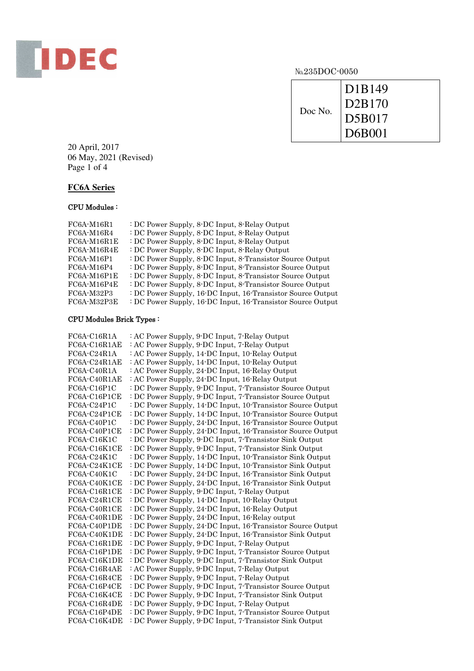

| Doc No. | D1B149<br>D2B170 |
|---------|------------------|
|         | <b>D5B017</b>    |
|         | D6B001           |

20 April, 2017 06 May, 2021 (Revised) Page 1 of 4

# **FC6A Series**

## CPU Modules :

| $FC6A-M16R1$  | : DC Power Supply, 8-DC Input, 8-Relay Output               |
|---------------|-------------------------------------------------------------|
| $FC6A-M16R4$  | : DC Power Supply, 8-DC Input, 8-Relay Output               |
| FC6A-M16R1E   | : DC Power Supply, 8-DC Input, 8-Relay Output               |
| FC6A-M16R4E   | : DC Power Supply, 8-DC Input, 8-Relay Output               |
| $FC6A-M16P1$  | : DC Power Supply, 8-DC Input, 8-Transistor Source Output   |
| FC6A-M16P4    | : DC Power Supply, 8-DC Input, 8-Transistor Source Output   |
| FC6A-M16P1E   | : DC Power Supply, 8-DC Input, 8-Transistor Source Output   |
| $FC6A-M16P4E$ | : DC Power Supply, 8-DC Input, 8-Transistor Source Output   |
| FC6A-M32P3    | : DC Power Supply, 16-DC Input, 16-Transistor Source Output |
| FC6A-M32P3E   | : DC Power Supply, 16-DC Input, 16-Transistor Source Output |

## CPU Modules Brick Types :

| $FC6A-C16R1A$ | : AC Power Supply, 9-DC Input, 7-Relay Output               |
|---------------|-------------------------------------------------------------|
| FC6A-C16R1AE  | : AC Power Supply, 9-DC Input, 7-Relay Output               |
| FC6A-C24R1A   | : AC Power Supply, 14-DC Input, 10-Relay Output             |
| FC6A-C24R1AE  | : AC Power Supply, 14-DC Input, 10-Relay Output             |
| FC6A-C40R1A   | : AC Power Supply, 24-DC Input, 16-Relay Output             |
| FC6A-C40R1AE  | : AC Power Supply, 24-DC Input, 16-Relay Output             |
| FC6A-C16P1C   | : DC Power Supply, 9-DC Input, 7-Transistor Source Output   |
| FC6A-C16P1CE  | : DC Power Supply, 9-DC Input, 7-Transistor Source Output   |
| FC6A-C24P1C   | : DC Power Supply, 14 DC Input, 10 Transistor Source Output |
| FC6A-C24P1CE  | : DC Power Supply, 14-DC Input, 10-Transistor Source Output |
| FC6A-C40P1C   | : DC Power Supply, 24 DC Input, 16 Transistor Source Output |
| FC6A-C40P1CE  | DC Power Supply, 24-DC Input, 16-Transistor Source Output   |
| $FC6A-C16K1C$ | : DC Power Supply, 9-DC Input, 7-Transistor Sink Output     |
| FC6A-C16K1CE  | : DC Power Supply, 9-DC Input, 7-Transistor Sink Output     |
| FC6A-C24K1C   | : DC Power Supply, 14-DC Input, 10-Transistor Sink Output   |
| FC6A-C24K1CE  | : DC Power Supply, 14-DC Input, 10-Transistor Sink Output   |
| FC6A-C40K1C   | : DC Power Supply, 24-DC Input, 16-Transistor Sink Output   |
| FC6A-C40K1CE  | : DC Power Supply, 24-DC Input, 16-Transistor Sink Output   |
| FC6A-C16R1CE  | : DC Power Supply, 9-DC Input, 7-Relay Output               |
| FC6A-C24R1CE  | DC Power Supply, 14-DC Input, 10-Relay Output               |
| FC6A-C40R1CE  | : DC Power Supply, 24-DC Input, 16-Relay Output             |
| FC6A-C40R1DE  | : DC Power Supply, 24-DC Input, 16-Relay output             |
| FC6A-C40P1DE  | : DC Power Supply, 24 DC Input, 16-Transistor Source Output |
| FC6A-C40K1DE  | : DC Power Supply, 24 DC Input, 16-Transistor Sink Output   |
| FC6A-C16R1DE  | : DC Power Supply, 9-DC Input, 7-Relay Output               |
| FC6A-C16P1DE  | DC Power Supply, 9-DC Input, 7-Transistor Source Output     |
| FC6A-C16K1DE  | : DC Power Supply, 9-DC Input, 7-Transistor Sink Output     |
| FC6A-C16R4AE  | : AC Power Supply, 9-DC Input, 7-Relay Output               |
| FC6A-C16R4CE  | DC Power Supply, 9-DC Input, 7-Relay Output                 |
| FC6A-C16P4CE  | DC Power Supply, 9-DC Input, 7-Transistor Source Output     |
| FC6A-C16K4CE  | : DC Power Supply, 9-DC Input, 7-Transistor Sink Output     |
| FC6A-C16R4DE  | : DC Power Supply, 9-DC Input, 7-Relay Output               |
| FC6A-C16P4DE  | DC Power Supply, 9-DC Input, 7-Transistor Source Output     |
| FC6A-C16K4DE  | : DC Power Supply, 9-DC Input, 7-Transistor Sink Output     |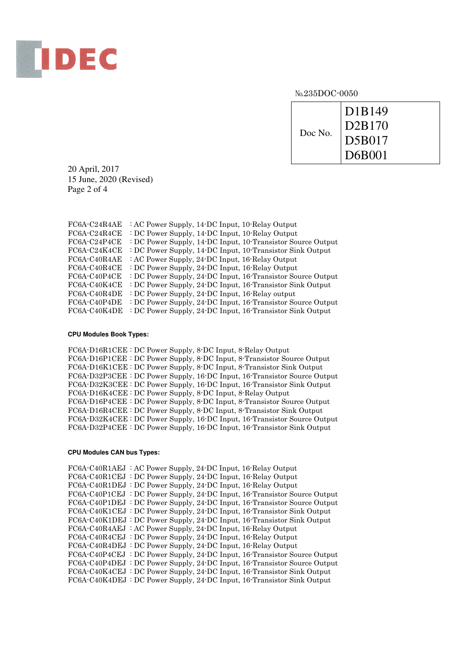

No.235DOC-0050

| Doc No. | D1B149<br>D <sub>2</sub> B <sub>170</sub> |
|---------|-------------------------------------------|
|         | D5B017                                    |
|         | D6B001                                    |

20 April, 2017 15 June, 2020 (Revised) Page 2 of 4

| FC6A-C24R4AE | : AC Power Supply, 14-DC Input, 10-Relay Output             |
|--------------|-------------------------------------------------------------|
| FC6A-C24R4CE | : DC Power Supply, 14-DC Input, 10-Relay Output             |
| FC6A-C24P4CE | : DC Power Supply, 14-DC Input, 10-Transistor Source Output |
| FC6A-C24K4CE | : DC Power Supply, 14-DC Input, 10-Transistor Sink Output   |
| FC6A-C40R4AE | : AC Power Supply, 24-DC Input, 16-Relay Output             |
| FC6A-C40R4CE | : DC Power Supply, 24-DC Input, 16-Relay Output             |
| FC6A-C40P4CE | : DC Power Supply, 24-DC Input, 16-Transistor Source Output |
| FC6A-C40K4CE | : DC Power Supply, 24-DC Input, 16-Transistor Sink Output   |
| FC6A-C40R4DE | : DC Power Supply, 24-DC Input, 16-Relay output             |
| FC6A-C40P4DE | : DC Power Supply, 24 DC Input, 16 Transistor Source Output |
| FC6A-C40K4DE | : DC Power Supply, 24-DC Input, 16-Transistor Sink Output   |

#### **CPU Modules Book Types:**

FC6A-D16R1CEE : DC Power Supply, 8-DC Input, 8-Relay Output FC6A-D16P1CEE : DC Power Supply, 8-DC Input, 8-Transistor Source Output FC6A-D16K1CEE : DC Power Supply, 8-DC Input, 8-Transistor Sink Output FC6A-D32P3CEE : DC Power Supply, 16-DC Input, 16-Transistor Source Output FC6A-D32K3CEE : DC Power Supply, 16-DC Input, 16-Transistor Sink Output FC6A-D16K4CEE : DC Power Supply, 8-DC Input, 8-Relay Output FC6A-D16P4CEE : DC Power Supply, 8-DC Input, 8-Transistor Source Output FC6A-D16R4CEE : DC Power Supply, 8-DC Input, 8-Transistor Sink Output FC6A-D32K4CEE : DC Power Supply, 16-DC Input, 16-Transistor Source Output FC6A-D32P4CEE : DC Power Supply, 16-DC Input, 16-Transistor Sink Output

#### **CPU Modules CAN bus Types:**

FC6A-C40R1AEJ : AC Power Supply, 24-DC Input, 16-Relay Output FC6A-C40R1CEJ : DC Power Supply, 24-DC Input, 16-Relay Output FC6A-C40R1DEJ : DC Power Supply, 24-DC Input, 16-Relay Output FC6A-C40P1CEJ : DC Power Supply, 24-DC Input, 16-Transistor Source Output FC6A-C40P1DEJ : DC Power Supply, 24-DC Input, 16-Transistor Source Output FC6A-C40K1CEJ : DC Power Supply, 24-DC Input, 16-Transistor Sink Output FC6A-C40K1DEJ : DC Power Supply, 24-DC Input, 16-Transistor Sink Output FC6A-C40R4AEJ : AC Power Supply, 24-DC Input, 16-Relay Output FC6A-C40R4CEJ : DC Power Supply, 24-DC Input, 16-Relay Output FC6A-C40R4DEJ : DC Power Supply, 24-DC Input, 16-Relay Output FC6A-C40P4CEJ : DC Power Supply, 24-DC Input, 16-Transistor Source Output FC6A-C40P4DEJ : DC Power Supply, 24-DC Input, 16-Transistor Source Output FC6A-C40K4CEJ : DC Power Supply, 24-DC Input, 16-Transistor Sink Output FC6A-C40K4DEJ : DC Power Supply, 24-DC Input, 16-Transistor Sink Output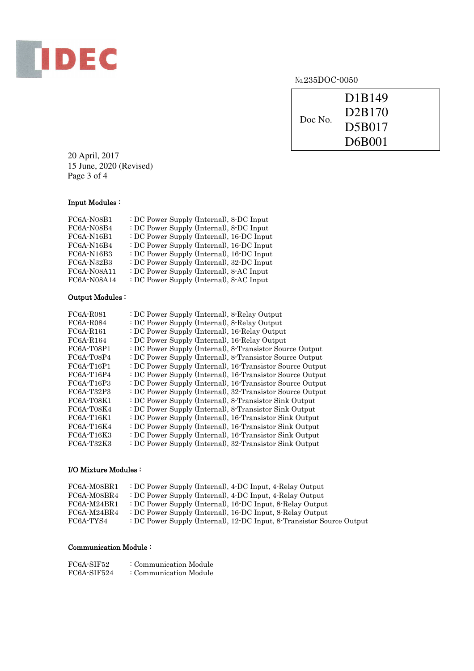

| Doc No. | D1B149<br>D2B170<br>D5B017 |
|---------|----------------------------|
|         | $\vert$ D6B001             |
|         |                            |

20 April, 2017 15 June, 2020 (Revised) Page 3 of 4

## Input Modules :

| FC6A-N08B1        | : DC Power Supply (Internal), 8-DC Input  |
|-------------------|-------------------------------------------|
| FC6A-N08B4        | : DC Power Supply (Internal), 8-DC Input  |
| <b>FC6A-N16B1</b> | : DC Power Supply (Internal), 16-DC Input |
| <b>FC6A-N16B4</b> | : DC Power Supply (Internal), 16-DC Input |
| FC6A-N16B3        | : DC Power Supply (Internal), 16-DC Input |
| FC6A-N32B3        | : DC Power Supply (Internal), 32-DC Input |
| FC6A-N08A11       | : DC Power Supply (Internal), 8-AC Input  |
| FC6A-N08A14       | : DC Power Supply (Internal), 8-AC Input  |
|                   |                                           |

## Output Modules :

| FC6A-R081    | : DC Power Supply (Internal), 8-Relay Output              |
|--------------|-----------------------------------------------------------|
| FC6A-R084    | : DC Power Supply (Internal), 8-Relay Output              |
| FC6A-R161    | : DC Power Supply (Internal), 16-Relay Output             |
| FC6A-R164    | : DC Power Supply (Internal), 16-Relay Output             |
| FC6A-T08P1   | : DC Power Supply (Internal), 8-Transistor Source Output  |
| FC6A-T08P4   | : DC Power Supply (Internal), 8-Transistor Source Output  |
| FC6A-T16P1   | : DC Power Supply (Internal), 16 Transistor Source Output |
| FC6A-T16P4   | : DC Power Supply (Internal), 16-Transistor Source Output |
| FC6A-T16P3   | : DC Power Supply (Internal), 16-Transistor Source Output |
| FC6A-T32P3   | : DC Power Supply (Internal), 32-Transistor Source Output |
| FC6A-T08K1   | : DC Power Supply (Internal), 8-Transistor Sink Output    |
| FC6A-T08K4   | : DC Power Supply (Internal), 8-Transistor Sink Output    |
| FC6A-T16K1   | : DC Power Supply (Internal), 16-Transistor Sink Output   |
| $FC6A-T16K4$ | : DC Power Supply (Internal), 16-Transistor Sink Output   |
| $FC6A-T16K3$ | : DC Power Supply (Internal), 16 Transistor Sink Output   |
| FC6A-T32K3   | : DC Power Supply (Internal), 32-Transistor Sink Output   |

## I/O Mixture Modules :

| FC6A-M08BR1   | : DC Power Supply (Internal), 4-DC Input, 4-Relay Output              |
|---------------|-----------------------------------------------------------------------|
| FC6A-M08BR4   | : DC Power Supply (Internal), 4-DC Input, 4-Relay Output              |
| $FC6A-M24BR1$ | : DC Power Supply (Internal), 16-DC Input, 8-Relay Output             |
| FC6A-M24BR4   | : DC Power Supply (Internal), 16-DC Input, 8-Relay Output             |
| FC6A-TYS4     | : DC Power Supply (Internal), 12-DC Input, 8-Transistor Source Output |

# Communication Module :

| FC6A-SIF52  | : Communication Module |
|-------------|------------------------|
| FC6A-SIF524 | : Communication Module |